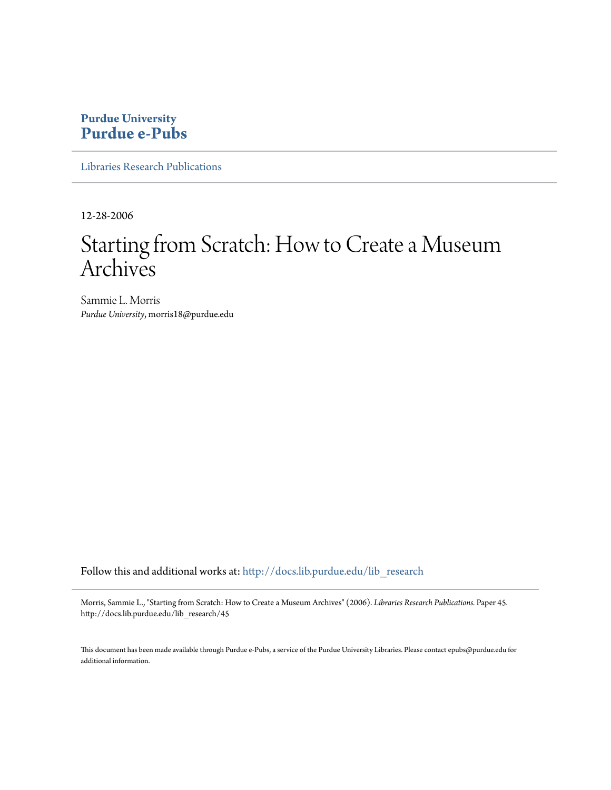# **Purdue University [Purdue e-Pubs](http://docs.lib.purdue.edu?utm_source=docs.lib.purdue.edu%2Flib_research%2F45&utm_medium=PDF&utm_campaign=PDFCoverPages)**

[Libraries Research Publications](http://docs.lib.purdue.edu/lib_research?utm_source=docs.lib.purdue.edu%2Flib_research%2F45&utm_medium=PDF&utm_campaign=PDFCoverPages)

12-28-2006

# Starting from Scratch: How to Create a Museum Archives

Sammie L. Morris *Purdue University*, morris18@purdue.edu

Follow this and additional works at: [http://docs.lib.purdue.edu/lib\\_research](http://docs.lib.purdue.edu/lib_research?utm_source=docs.lib.purdue.edu%2Flib_research%2F45&utm_medium=PDF&utm_campaign=PDFCoverPages)

Morris, Sammie L., "Starting from Scratch: How to Create a Museum Archives" (2006). *Libraries Research Publications.* Paper 45. http://docs.lib.purdue.edu/lib\_research/45

This document has been made available through Purdue e-Pubs, a service of the Purdue University Libraries. Please contact epubs@purdue.edu for additional information.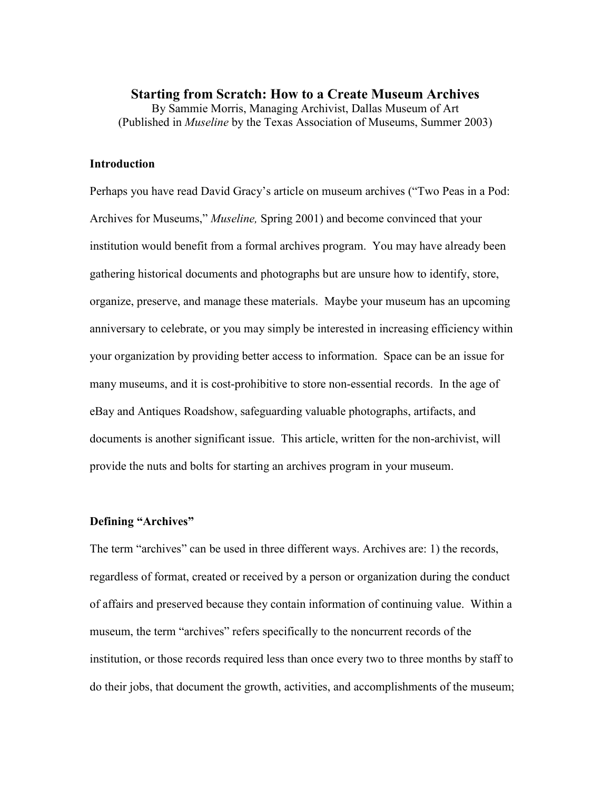## **Starting from Scratch: How to a Create Museum Archives**  By Sammie Morris, Managing Archivist, Dallas Museum of Art (Published in *Museline* by the Texas Association of Museums, Summer 2003)

## **Introduction**

Perhaps you have read David Gracy's article on museum archives ("Two Peas in a Pod: Archives for Museums," *Museline,* Spring 2001) and become convinced that your institution would benefit from a formal archives program. You may have already been gathering historical documents and photographs but are unsure how to identify, store, organize, preserve, and manage these materials. Maybe your museum has an upcoming anniversary to celebrate, or you may simply be interested in increasing efficiency within your organization by providing better access to information. Space can be an issue for many museums, and it is cost-prohibitive to store non-essential records. In the age of eBay and Antiques Roadshow, safeguarding valuable photographs, artifacts, and documents is another significant issue. This article, written for the non-archivist, will provide the nuts and bolts for starting an archives program in your museum.

## **Defining "Archives"**

The term "archives" can be used in three different ways. Archives are: 1) the records, regardless of format, created or received by a person or organization during the conduct of affairs and preserved because they contain information of continuing value. Within a museum, the term "archives" refers specifically to the noncurrent records of the institution, or those records required less than once every two to three months by staff to do their jobs, that document the growth, activities, and accomplishments of the museum;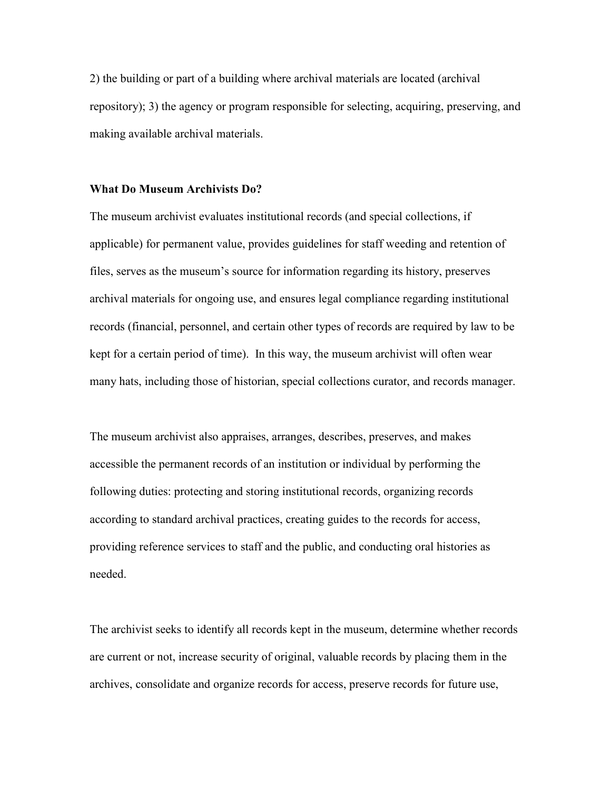2) the building or part of a building where archival materials are located (archival repository); 3) the agency or program responsible for selecting, acquiring, preserving, and making available archival materials.

#### **What Do Museum Archivists Do?**

The museum archivist evaluates institutional records (and special collections, if applicable) for permanent value, provides guidelines for staff weeding and retention of files, serves as the museum's source for information regarding its history, preserves archival materials for ongoing use, and ensures legal compliance regarding institutional records (financial, personnel, and certain other types of records are required by law to be kept for a certain period of time). In this way, the museum archivist will often wear many hats, including those of historian, special collections curator, and records manager.

The museum archivist also appraises, arranges, describes, preserves, and makes accessible the permanent records of an institution or individual by performing the following duties: protecting and storing institutional records, organizing records according to standard archival practices, creating guides to the records for access, providing reference services to staff and the public, and conducting oral histories as needed.

The archivist seeks to identify all records kept in the museum, determine whether records are current or not, increase security of original, valuable records by placing them in the archives, consolidate and organize records for access, preserve records for future use,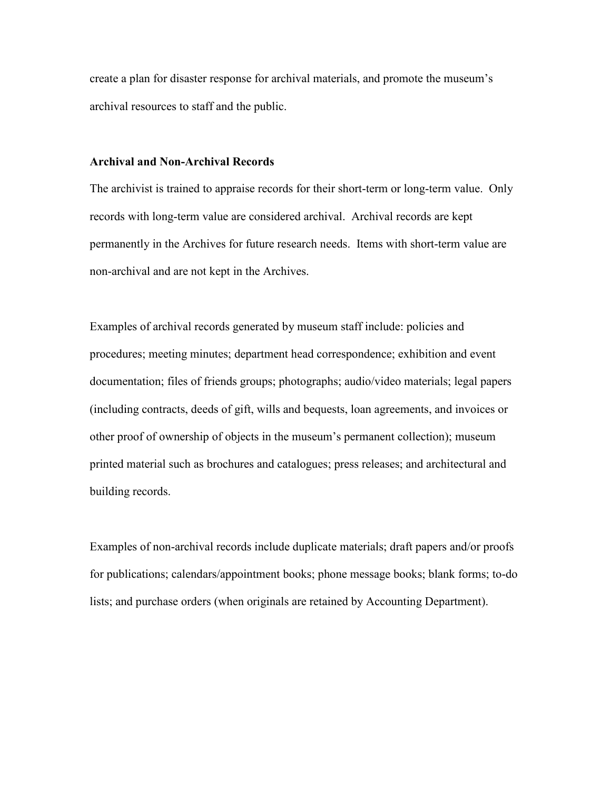create a plan for disaster response for archival materials, and promote the museum's archival resources to staff and the public.

## **Archival and Non-Archival Records**

The archivist is trained to appraise records for their short-term or long-term value. Only records with long-term value are considered archival. Archival records are kept permanently in the Archives for future research needs. Items with short-term value are non-archival and are not kept in the Archives.

Examples of archival records generated by museum staff include: policies and procedures; meeting minutes; department head correspondence; exhibition and event documentation; files of friends groups; photographs; audio/video materials; legal papers (including contracts, deeds of gift, wills and bequests, loan agreements, and invoices or other proof of ownership of objects in the museum's permanent collection); museum printed material such as brochures and catalogues; press releases; and architectural and building records.

Examples of non-archival records include duplicate materials; draft papers and/or proofs for publications; calendars/appointment books; phone message books; blank forms; to-do lists; and purchase orders (when originals are retained by Accounting Department).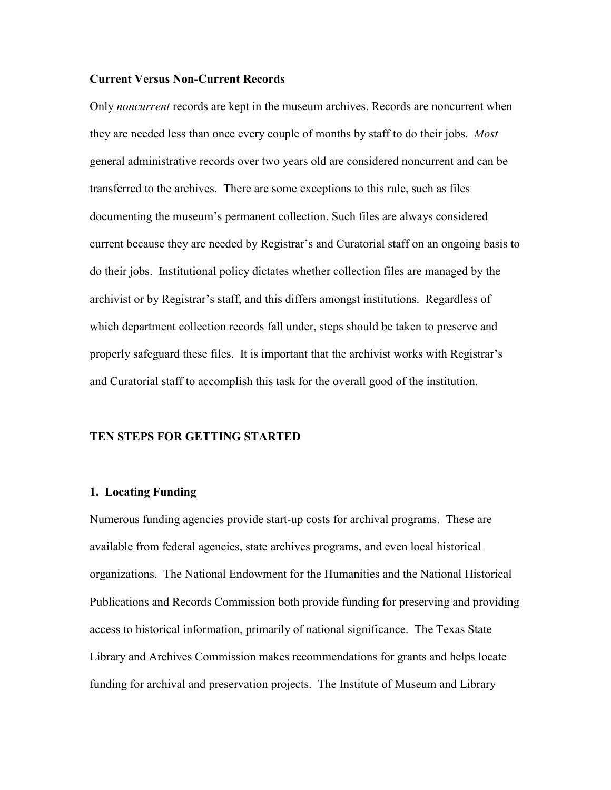## **Current Versus Non-Current Records**

Only *noncurrent* records are kept in the museum archives. Records are noncurrent when they are needed less than once every couple of months by staff to do their jobs. *Most*  general administrative records over two years old are considered noncurrent and can be transferred to the archives. There are some exceptions to this rule, such as files documenting the museum's permanent collection. Such files are always considered current because they are needed by Registrar's and Curatorial staff on an ongoing basis to do their jobs. Institutional policy dictates whether collection files are managed by the archivist or by Registrar's staff, and this differs amongst institutions. Regardless of which department collection records fall under, steps should be taken to preserve and properly safeguard these files. It is important that the archivist works with Registrar's and Curatorial staff to accomplish this task for the overall good of the institution.

#### **TEN STEPS FOR GETTING STARTED**

## **1. Locating Funding**

Numerous funding agencies provide start-up costs for archival programs. These are available from federal agencies, state archives programs, and even local historical organizations. The National Endowment for the Humanities and the National Historical Publications and Records Commission both provide funding for preserving and providing access to historical information, primarily of national significance. The Texas State Library and Archives Commission makes recommendations for grants and helps locate funding for archival and preservation projects. The Institute of Museum and Library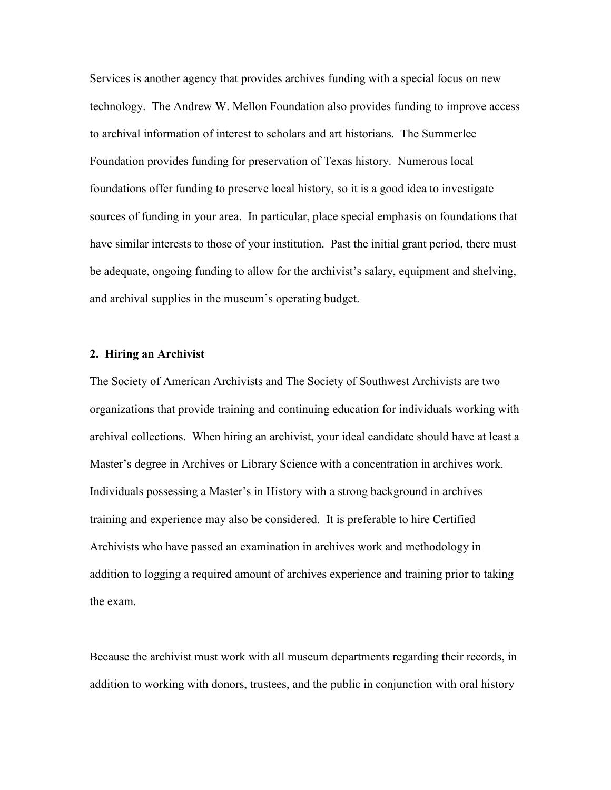Services is another agency that provides archives funding with a special focus on new technology. The Andrew W. Mellon Foundation also provides funding to improve access to archival information of interest to scholars and art historians. The Summerlee Foundation provides funding for preservation of Texas history. Numerous local foundations offer funding to preserve local history, so it is a good idea to investigate sources of funding in your area. In particular, place special emphasis on foundations that have similar interests to those of your institution. Past the initial grant period, there must be adequate, ongoing funding to allow for the archivist's salary, equipment and shelving, and archival supplies in the museum's operating budget.

## **2. Hiring an Archivist**

The Society of American Archivists and The Society of Southwest Archivists are two organizations that provide training and continuing education for individuals working with archival collections. When hiring an archivist, your ideal candidate should have at least a Master's degree in Archives or Library Science with a concentration in archives work. Individuals possessing a Master's in History with a strong background in archives training and experience may also be considered. It is preferable to hire Certified Archivists who have passed an examination in archives work and methodology in addition to logging a required amount of archives experience and training prior to taking the exam.

Because the archivist must work with all museum departments regarding their records, in addition to working with donors, trustees, and the public in conjunction with oral history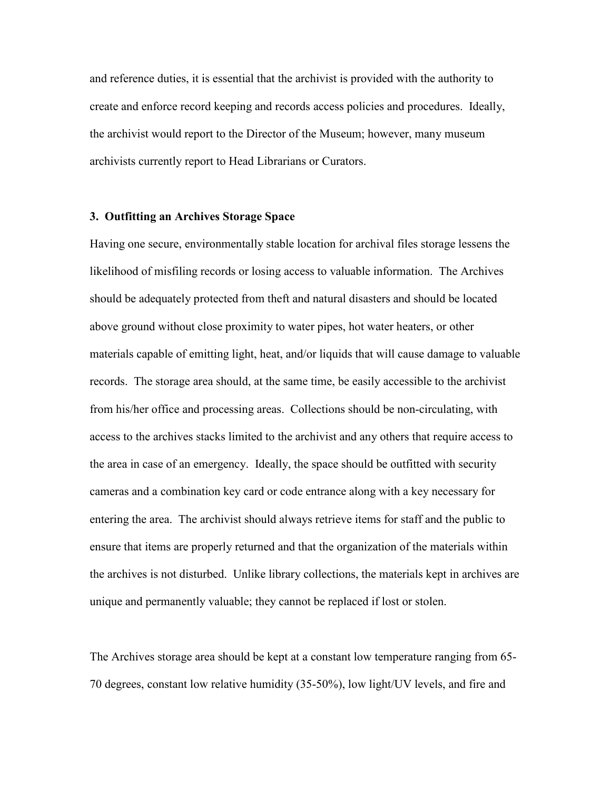and reference duties, it is essential that the archivist is provided with the authority to create and enforce record keeping and records access policies and procedures. Ideally, the archivist would report to the Director of the Museum; however, many museum archivists currently report to Head Librarians or Curators.

## **3. Outfitting an Archives Storage Space**

Having one secure, environmentally stable location for archival files storage lessens the likelihood of misfiling records or losing access to valuable information. The Archives should be adequately protected from theft and natural disasters and should be located above ground without close proximity to water pipes, hot water heaters, or other materials capable of emitting light, heat, and/or liquids that will cause damage to valuable records. The storage area should, at the same time, be easily accessible to the archivist from his/her office and processing areas. Collections should be non-circulating, with access to the archives stacks limited to the archivist and any others that require access to the area in case of an emergency. Ideally, the space should be outfitted with security cameras and a combination key card or code entrance along with a key necessary for entering the area. The archivist should always retrieve items for staff and the public to ensure that items are properly returned and that the organization of the materials within the archives is not disturbed. Unlike library collections, the materials kept in archives are unique and permanently valuable; they cannot be replaced if lost or stolen.

The Archives storage area should be kept at a constant low temperature ranging from 65- 70 degrees, constant low relative humidity (35-50%), low light/UV levels, and fire and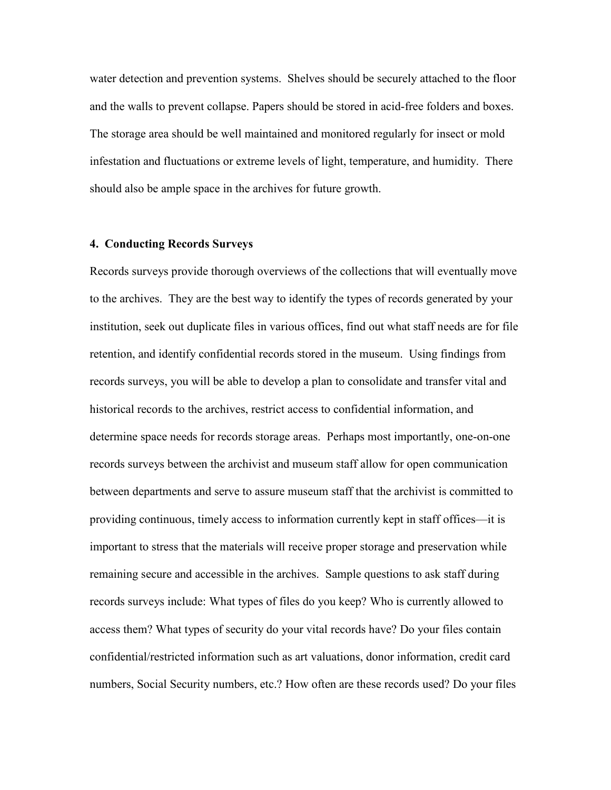water detection and prevention systems. Shelves should be securely attached to the floor and the walls to prevent collapse. Papers should be stored in acid-free folders and boxes. The storage area should be well maintained and monitored regularly for insect or mold infestation and fluctuations or extreme levels of light, temperature, and humidity. There should also be ample space in the archives for future growth.

## **4. Conducting Records Surveys**

Records surveys provide thorough overviews of the collections that will eventually move to the archives. They are the best way to identify the types of records generated by your institution, seek out duplicate files in various offices, find out what staff needs are for file retention, and identify confidential records stored in the museum. Using findings from records surveys, you will be able to develop a plan to consolidate and transfer vital and historical records to the archives, restrict access to confidential information, and determine space needs for records storage areas. Perhaps most importantly, one-on-one records surveys between the archivist and museum staff allow for open communication between departments and serve to assure museum staff that the archivist is committed to providing continuous, timely access to information currently kept in staff offices—it is important to stress that the materials will receive proper storage and preservation while remaining secure and accessible in the archives. Sample questions to ask staff during records surveys include: What types of files do you keep? Who is currently allowed to access them? What types of security do your vital records have? Do your files contain confidential/restricted information such as art valuations, donor information, credit card numbers, Social Security numbers, etc.? How often are these records used? Do your files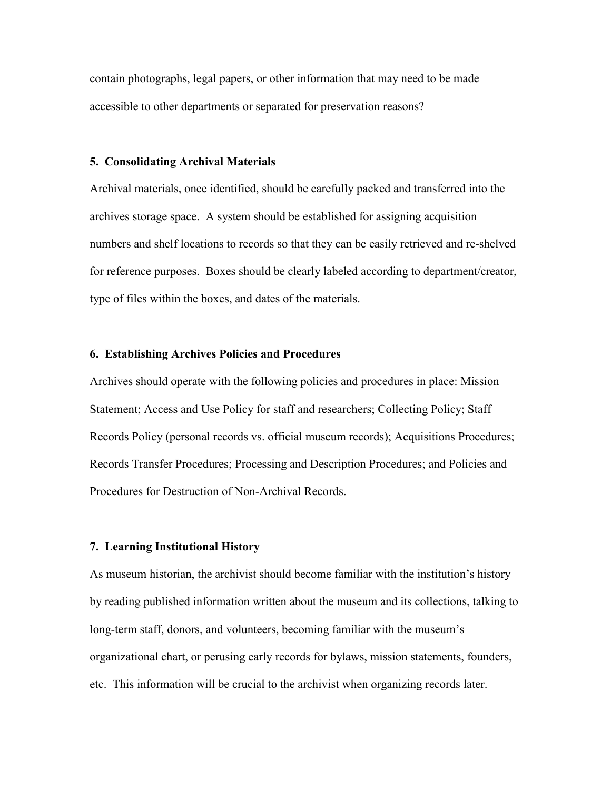contain photographs, legal papers, or other information that may need to be made accessible to other departments or separated for preservation reasons?

## **5. Consolidating Archival Materials**

Archival materials, once identified, should be carefully packed and transferred into the archives storage space. A system should be established for assigning acquisition numbers and shelf locations to records so that they can be easily retrieved and re-shelved for reference purposes. Boxes should be clearly labeled according to department/creator, type of files within the boxes, and dates of the materials.

## **6. Establishing Archives Policies and Procedures**

Archives should operate with the following policies and procedures in place: Mission Statement; Access and Use Policy for staff and researchers; Collecting Policy; Staff Records Policy (personal records vs. official museum records); Acquisitions Procedures; Records Transfer Procedures; Processing and Description Procedures; and Policies and Procedures for Destruction of Non-Archival Records.

#### **7. Learning Institutional History**

As museum historian, the archivist should become familiar with the institution's history by reading published information written about the museum and its collections, talking to long-term staff, donors, and volunteers, becoming familiar with the museum's organizational chart, or perusing early records for bylaws, mission statements, founders, etc. This information will be crucial to the archivist when organizing records later.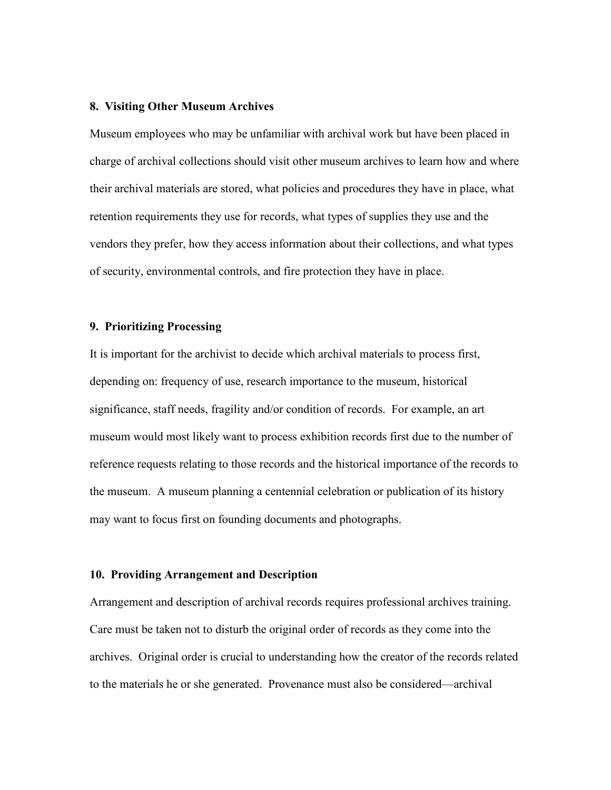## **8. Visiting Other Museum Archives**

Museum employees who may be unfamiliar with archival work but have been placed in charge of archival collections should visit other museum archives to learn how and where their archival materials are stored, what policies and procedures they have in place, what retention requirements they use for records, what types of supplies they use and the vendors they prefer, how they access information about their collections, and what types of security, environmental controls, and fire protection they have in place.

## **9. Prioritizing Processing**

It is important for the archivist to decide which archival materials to process first, depending on: frequency of use, research importance to the museum, historical significance, staff needs, fragility and/or condition of records. For example, an art museum would most likely want to process exhibition records first due to the number of reference requests relating to those records and the historical importance of the records to the museum. A museum planning a centennial celebration or publication of its history may want to focus first on founding documents and photographs.

### **10. Providing Arrangement and Description**

Arrangement and description of archival records requires professional archives training. Care must be taken not to disturb the original order of records as they come into the archives. Original order is crucial to understanding how the creator of the records related to the materials he or she generated. Provenance must also be considered—archival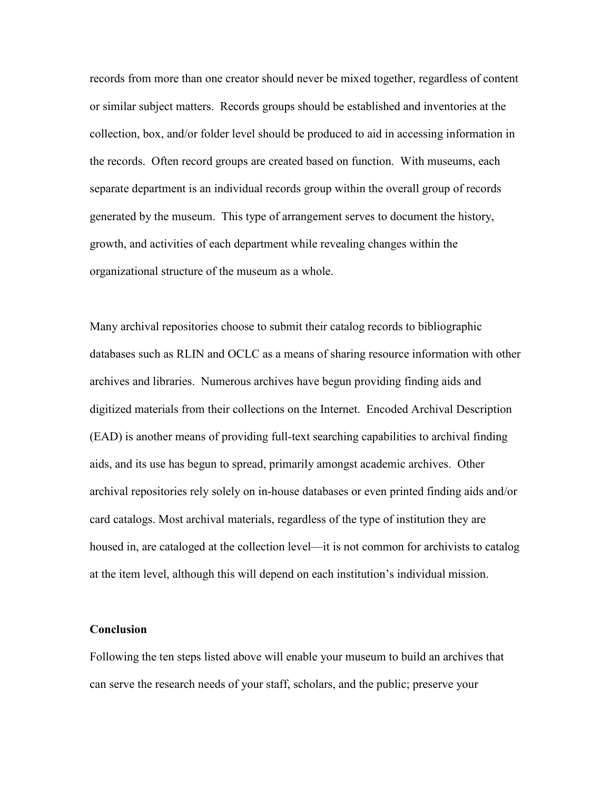records from more than one creator should never be mixed together, regardless of content or similar subject matters. Records groups should be established and inventories at the collection, box, and/or folder level should be produced to aid in accessing information in the records. Often record groups are created based on function. With museums, each separate department is an individual records group within the overall group of records generated by the museum. This type of arrangement serves to document the history, growth, and activities of each department while revealing changes within the organizational structure of the museum as a whole.

Many archival repositories choose to submit their catalog records to bibliographic databases such as RLIN and OCLC as a means of sharing resource information with other archives and libraries. Numerous archives have begun providing finding aids and digitized materials from their collections on the Internet. Encoded Archival Description (EAD) is another means of providing full-text searching capabilities to archival finding aids, and its use has begun to spread, primarily amongst academic archives. Other archival repositories rely solely on in-house databases or even printed finding aids and/or card catalogs. Most archival materials, regardless of the type of institution they are housed in, are cataloged at the collection level—it is not common for archivists to catalog at the item level, although this will depend on each institution's individual mission.

#### **Conclusion**

Following the ten steps listed above will enable your museum to build an archives that can serve the research needs of your staff, scholars, and the public; preserve your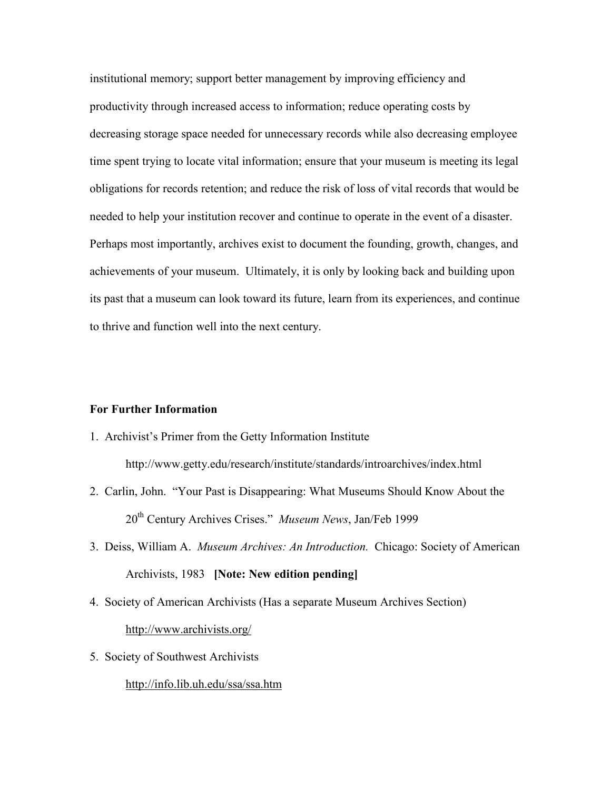institutional memory; support better management by improving efficiency and productivity through increased access to information; reduce operating costs by decreasing storage space needed for unnecessary records while also decreasing employee time spent trying to locate vital information; ensure that your museum is meeting its legal obligations for records retention; and reduce the risk of loss of vital records that would be needed to help your institution recover and continue to operate in the event of a disaster. Perhaps most importantly, archives exist to document the founding, growth, changes, and achievements of your museum. Ultimately, it is only by looking back and building upon its past that a museum can look toward its future, learn from its experiences, and continue to thrive and function well into the next century.

## **For Further Information**

1. Archivist's Primer from the Getty Information Institute

http://www.getty.edu/research/institute/standards/introarchives/index.html

- 2. Carlin, John. "Your Past is Disappearing: What Museums Should Know About the 20th Century Archives Crises." *Museum News*, Jan/Feb 1999
- 3. Deiss, William A. *Museum Archives: An Introduction.* Chicago: Society of American Archivists, 1983 **[Note: New edition pending]**
- 4. Society of American Archivists (Has a separate Museum Archives Section)

http://www.archivists.org/

5. Society of Southwest Archivists

http://info.lib.uh.edu/ssa/ssa.htm